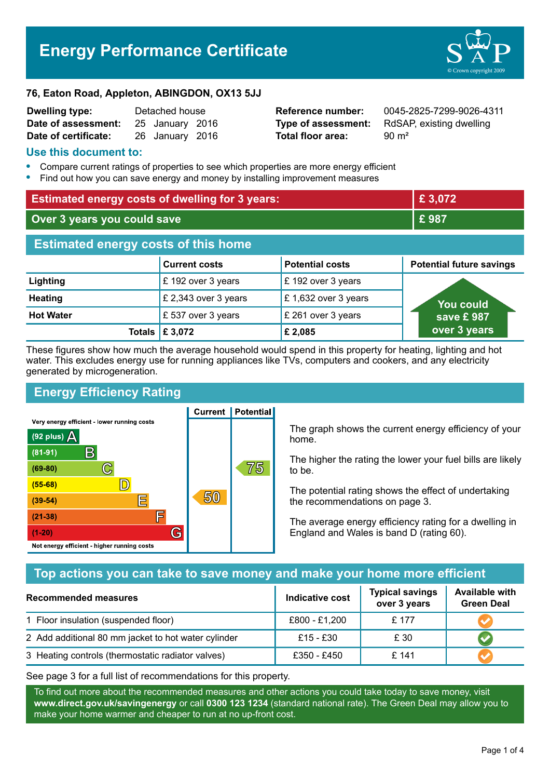# **Energy Performance Certificate**



#### **76, Eaton Road, Appleton, ABINGDON, OX13 5JJ**

| <b>Dwelling type:</b> | Detached house |                 |  |
|-----------------------|----------------|-----------------|--|
| Date of assessment:   |                | 25 January 2016 |  |
| Date of certificate:  |                | 26 January 2016 |  |

**Total floor area:** 90 m<sup>2</sup>

**Reference number:** 0045-2825-7299-9026-4311 **Type of assessment:** RdSAP, existing dwelling

#### **Use this document to:**

- **•** Compare current ratings of properties to see which properties are more energy efficient
- **•** Find out how you can save energy and money by installing improvement measures

| <b>Estimated energy costs of dwelling for 3 years:</b> |                      |                        | £ 3,072                         |  |
|--------------------------------------------------------|----------------------|------------------------|---------------------------------|--|
| Over 3 years you could save                            |                      | £987                   |                                 |  |
| <b>Estimated energy costs of this home</b>             |                      |                        |                                 |  |
|                                                        | <b>Current costs</b> | <b>Potential costs</b> | <b>Potential future savings</b> |  |
| Lighting                                               | £ 192 over 3 years   | £ 192 over 3 years     |                                 |  |
| <b>Heating</b>                                         | £ 2,343 over 3 years | £1,632 over 3 years    | <b>You could</b>                |  |
| <b>Hot Water</b>                                       | £537 over 3 years    | £ 261 over 3 years     | save £987                       |  |
| <b>Totals</b>                                          | £ 3,072              | £ 2,085                | over 3 years                    |  |

These figures show how much the average household would spend in this property for heating, lighting and hot water. This excludes energy use for running appliances like TVs, computers and cookers, and any electricity generated by microgeneration.

# **Energy Efficiency Rating**

**Current | Potential** 



The graph shows the current energy efficiency of your home.

The higher the rating the lower your fuel bills are likely to be.

The potential rating shows the effect of undertaking the recommendations on page 3.

The average energy efficiency rating for a dwelling in England and Wales is band D (rating 60).

# **Top actions you can take to save money and make your home more efficient**

| <b>Recommended measures</b>                         | Indicative cost | <b>Typical savings</b><br>over 3 years | <b>Available with</b><br><b>Green Deal</b> |
|-----------------------------------------------------|-----------------|----------------------------------------|--------------------------------------------|
| 1 Floor insulation (suspended floor)                | £800 - £1,200   | £ 177                                  |                                            |
| 2 Add additional 80 mm jacket to hot water cylinder | £15 - £30       | £ 30                                   |                                            |
| 3 Heating controls (thermostatic radiator valves)   | £350 - £450     | £141                                   |                                            |

See page 3 for a full list of recommendations for this property.

To find out more about the recommended measures and other actions you could take today to save money, visit **www.direct.gov.uk/savingenergy** or call **0300 123 1234** (standard national rate). The Green Deal may allow you to make your home warmer and cheaper to run at no up-front cost.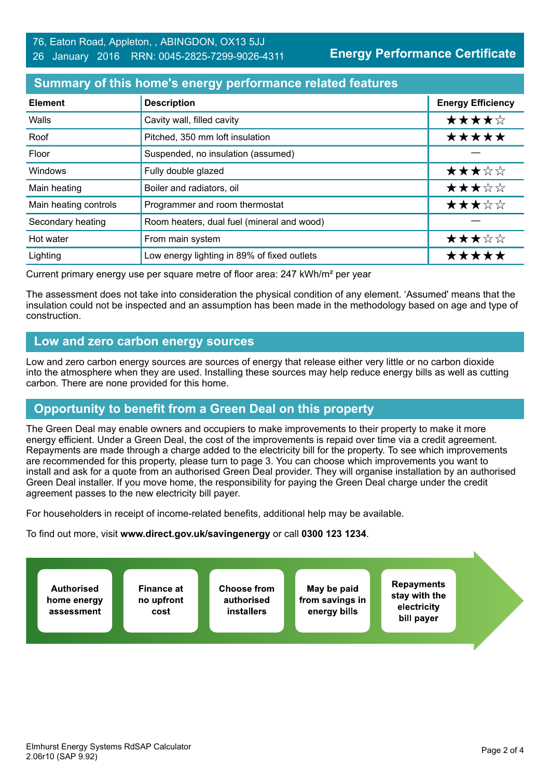**Energy Performance Certificate**

## **Summary of this home's energy performance related features**

| <b>Element</b>        | <b>Description</b>                          | <b>Energy Efficiency</b> |
|-----------------------|---------------------------------------------|--------------------------|
| Walls                 | Cavity wall, filled cavity                  | ★★★★☆                    |
| Roof                  | Pitched, 350 mm loft insulation             | *****                    |
| Floor                 | Suspended, no insulation (assumed)          |                          |
| Windows               | Fully double glazed                         | ★★★☆☆                    |
| Main heating          | Boiler and radiators, oil                   | ★★★☆☆                    |
| Main heating controls | Programmer and room thermostat              | ★★★☆☆                    |
| Secondary heating     | Room heaters, dual fuel (mineral and wood)  |                          |
| Hot water             | From main system                            | ★★★☆☆                    |
| Lighting              | Low energy lighting in 89% of fixed outlets | *****                    |

Current primary energy use per square metre of floor area: 247 kWh/m² per year

The assessment does not take into consideration the physical condition of any element. 'Assumed' means that the insulation could not be inspected and an assumption has been made in the methodology based on age and type of construction.

# **Low and zero carbon energy sources**

Low and zero carbon energy sources are sources of energy that release either very little or no carbon dioxide into the atmosphere when they are used. Installing these sources may help reduce energy bills as well as cutting carbon. There are none provided for this home.

# **Opportunity to benefit from a Green Deal on this property**

The Green Deal may enable owners and occupiers to make improvements to their property to make it more energy efficient. Under a Green Deal, the cost of the improvements is repaid over time via a credit agreement. Repayments are made through a charge added to the electricity bill for the property. To see which improvements are recommended for this property, please turn to page 3. You can choose which improvements you want to install and ask for a quote from an authorised Green Deal provider. They will organise installation by an authorised Green Deal installer. If you move home, the responsibility for paying the Green Deal charge under the credit agreement passes to the new electricity bill payer.

For householders in receipt of income-related benefits, additional help may be available.

To find out more, visit **www.direct.gov.uk/savingenergy** or call **0300 123 1234**.

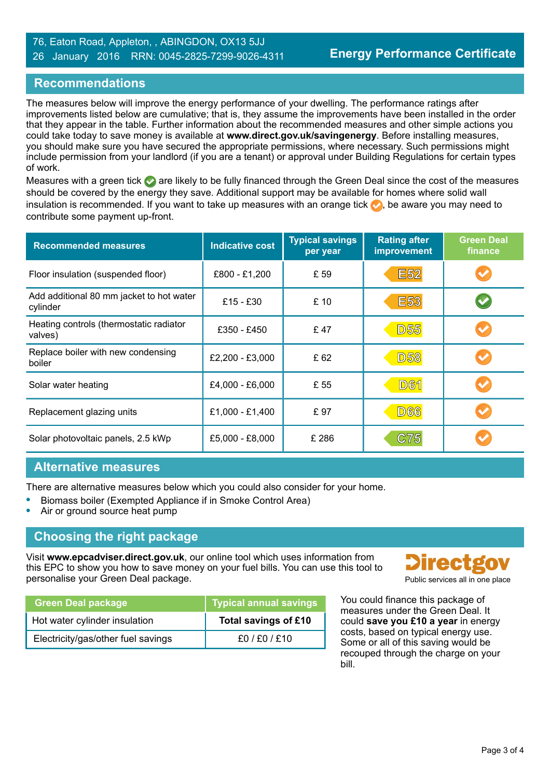#### 76, Eaton Road, Appleton, , ABINGDON, OX13 5JJ 26 January 2016 RRN: 0045-2825-7299-9026-4311

# **Recommendations**

The measures below will improve the energy performance of your dwelling. The performance ratings after improvements listed below are cumulative; that is, they assume the improvements have been installed in the order that they appear in the table. Further information about the recommended measures and other simple actions you could take today to save money is available at **www.direct.gov.uk/savingenergy**. Before installing measures, you should make sure you have secured the appropriate permissions, where necessary. Such permissions might include permission from your landlord (if you are a tenant) or approval under Building Regulations for certain types of work.

Measures with a green tick  $\bullet$  are likely to be fully financed through the Green Deal since the cost of the measures should be covered by the energy they save. Additional support may be available for homes where solid wall insulation is recommended. If you want to take up measures with an orange tick  $\bullet$ , be aware you may need to contribute some payment up-front.

| <b>Recommended measures</b>                          | <b>Indicative cost</b> | <b>Typical savings</b><br>per year | <b>Rating after</b><br>improvement | <b>Green Deal</b><br>finance |
|------------------------------------------------------|------------------------|------------------------------------|------------------------------------|------------------------------|
| Floor insulation (suspended floor)                   | £800 - £1,200          | £ 59                               | <b>E52</b>                         |                              |
| Add additional 80 mm jacket to hot water<br>cylinder | £15 - £30              | £10                                | <b>E53</b>                         |                              |
| Heating controls (thermostatic radiator<br>valves)   | £350 - £450            | £47                                | <b>D55</b>                         |                              |
| Replace boiler with new condensing<br>boiler         | £2,200 - £3,000        | £ 62                               | <b>D58</b>                         |                              |
| Solar water heating                                  | £4,000 - £6,000        | £ 55                               | <b>D61</b>                         |                              |
| Replacement glazing units                            | £1,000 - £1,400        | £97                                | <b>D66</b>                         |                              |
| Solar photovoltaic panels, 2.5 kWp                   | £5,000 - £8,000        | £ 286                              | <b>C75</b>                         |                              |

#### **Alternative measures**

There are alternative measures below which you could also consider for your home.

- **•** Biomass boiler (Exempted Appliance if in Smoke Control Area)
- **•** Air or ground source heat pump

# **Choosing the right package**

Visit **www.epcadviser.direct.gov.uk**, our online tool which uses information from this EPC to show you how to save money on your fuel bills. You can use this tool to personalise your Green Deal package. Public services all in one place of the place of the place of the place of the place of the place of the place of the place of the place of the place of the place of the place of the pl

| <b>Green Deal package</b>          | <b>Typical annual savings</b> |
|------------------------------------|-------------------------------|
| Hot water cylinder insulation      | Total savings of £10          |
| Electricity/gas/other fuel savings | £0/£0/£10                     |



You could finance this package of measures under the Green Deal. It could **save you £10 a year** in energy costs, based on typical energy use. Some or all of this saving would be recouped through the charge on your bill.